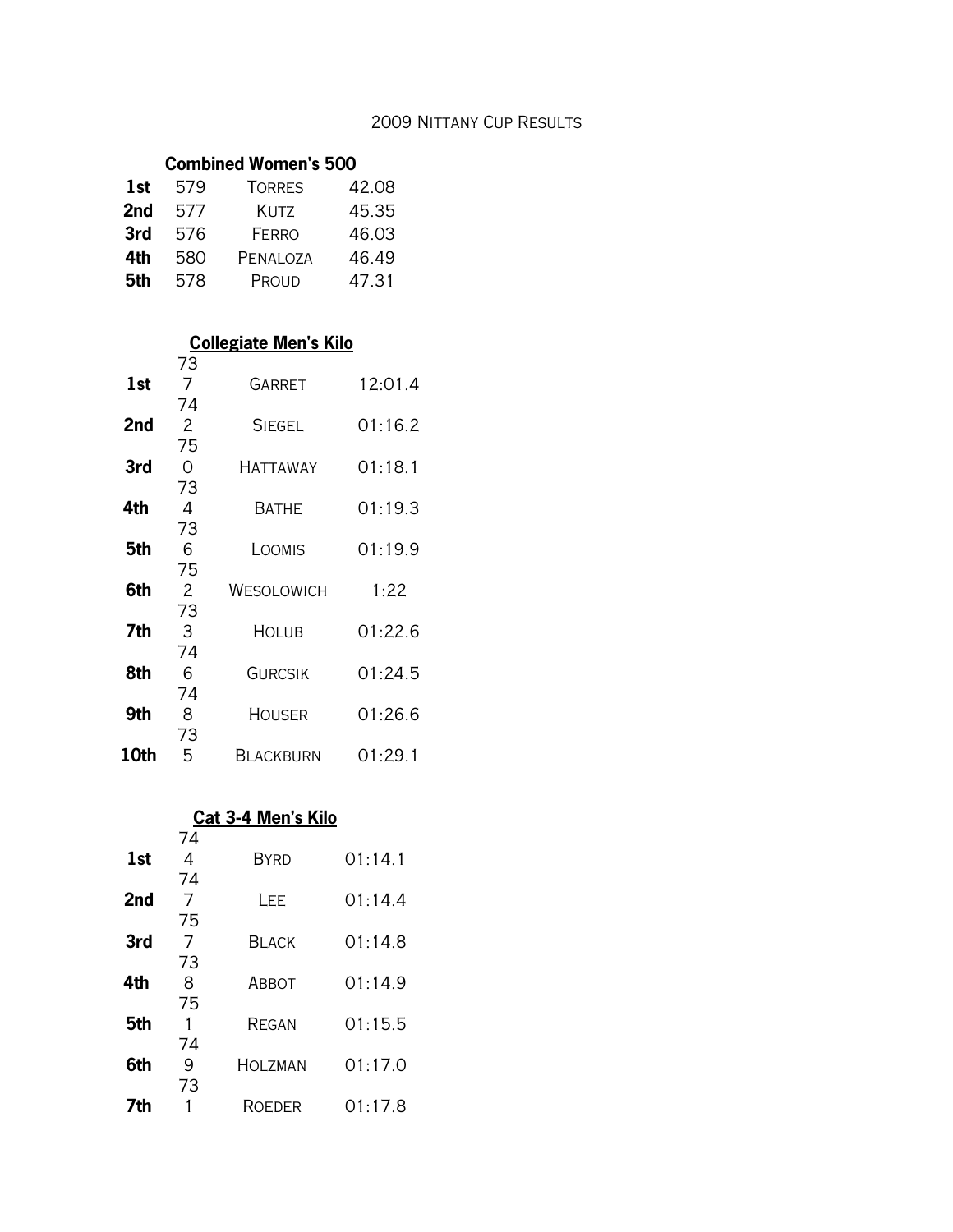#### 2009 Nittany Cup Results

## **Combined Women's 500**

| 1st | 579 | <b>TORRES</b> | 42.08 |
|-----|-----|---------------|-------|
| 2nd | 577 | KUTZ          | 45.35 |
| 3rd | 576 | FFRRO         | 46.03 |
| 4th | 580 | PENALOZA      | 46.49 |
| 5th | 578 | Proud         | 47.31 |
|     |     |               |       |

#### **Collegiate Men's Kilo**

|      | 73             |                |         |
|------|----------------|----------------|---------|
| 1st  | $\overline{7}$ | <b>GARRET</b>  | 12:01.4 |
|      | 74             |                |         |
| 2nd  | $\overline{2}$ | <b>SIEGEL</b>  | 01:16.2 |
|      | 75             |                |         |
| 3rd  | 0              | Hattaway       | 01:18.1 |
|      | 73             |                |         |
| 4th  | 4              | BATHE          | 01:19.3 |
|      | 73             |                |         |
| 5th  | 6              | LOOMIS         | 01:19.9 |
|      | 75             |                |         |
| 6th  | $\mathbf{2}$   | WESOLOWICH     | 1:22    |
|      | 73             |                |         |
| 7th  | 3              | <b>HOLUB</b>   | 01:22.6 |
|      | 74             |                |         |
| 8th  | 6              | <b>GURCSIK</b> | 01:24.5 |
|      | 74             |                |         |
| 9th  | 8              | <b>HOUSER</b>  | 01:26.6 |
|      | 73             |                |         |
| 10th | 5              | Blackburn      | 01:29.1 |

#### **Cat 3-4 Men's Kilo**

|     | 74      |              |         |
|-----|---------|--------------|---------|
| 1st | 4       | <b>BYRD</b>  | 01:14.1 |
|     | 74      |              |         |
| 2nd | 7<br>75 | l FF.        | 01:14.4 |
| 3rd | 7       | <b>BLACK</b> | 01:14.8 |
|     | 73      |              |         |
| 4th | 8       | ABBOT        | 01:14.9 |
| 5th | 75      | REGAN        | 01:15.5 |
| 6th | 74<br>9 | HOI 7MAN     | 01:17.0 |
| 7th | 73      | ROEDER       | 01:17.8 |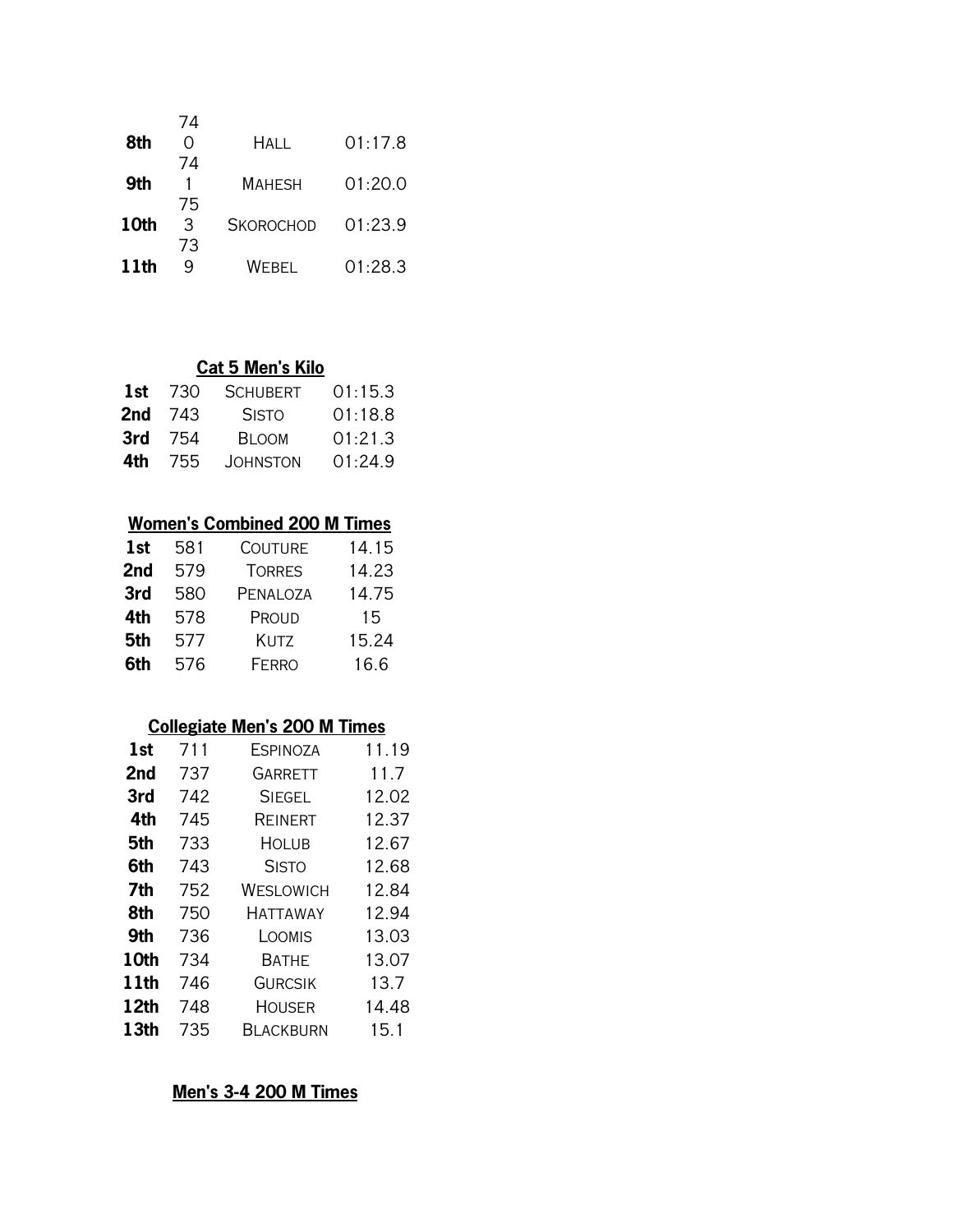| 74 |                  |         |
|----|------------------|---------|
|    | Hal I.           | 01:17.8 |
| 74 |                  |         |
|    | <b>MAHESH</b>    | 01:20.0 |
| 75 |                  |         |
| З  | <b>SKOROCHOD</b> | 01:23.9 |
| 73 |                  |         |
| q  | Webfi            | 01:28.3 |
|    |                  |         |

#### **Cat 5 Men's Kilo**

| 1st  | 730  | <b>SCHUBERT</b> | 01:15.3 |
|------|------|-----------------|---------|
| 2nd  | -743 | <b>SISTO</b>    | 01:18.8 |
| 3rd  | 754  | <b>BI OOM</b>   | 01:21.3 |
| 4th. | 755  | <b>JOHNSTON</b> | 01:24.9 |
|      |      |                 |         |

# **Women's Combined 200 M Times**

| 1st | 581 | <b>COUTURE</b> | 14.15 |
|-----|-----|----------------|-------|
| 2nd | 579 | <b>TORRES</b>  | 14.23 |
| 3rd | 580 | PENALOZA       | 14.75 |
| 4th | 578 | PROUD          | 15    |
| 5th | 577 | KUTZ           | 15.24 |
| 6th | 576 | <b>FERRO</b>   | 16.6  |
|     |     |                |       |

# **Collegiate Men's 200 M Times**

| 1st              | 711 | <b>ESPINOZA</b> | 11.19 |
|------------------|-----|-----------------|-------|
| 2nd              | 737 | <b>GARRETT</b>  | 11.7  |
| 3rd              | 742 | <b>SIEGEL</b>   | 12.02 |
| 4th              | 745 | REINERT         | 12.37 |
| 5th              | 733 | Holub           | 12.67 |
| 6th              | 743 | <b>SISTO</b>    | 12.68 |
| 7th              | 752 | WESLOWICH       | 12.84 |
| 8th              | 750 | HATTAWAY        | 12.94 |
| 9th              | 736 | LOOMIS          | 13.03 |
| 10th             | 734 | BATHE           | 13.07 |
| 11th             | 746 | <b>GURCSIK</b>  | 13.7  |
| 12th             | 748 | HOUSER          | 14.48 |
| 13 <sub>th</sub> | 735 | BLACKBURN       | 15.1  |

# **Men's 3-4 200 M Times**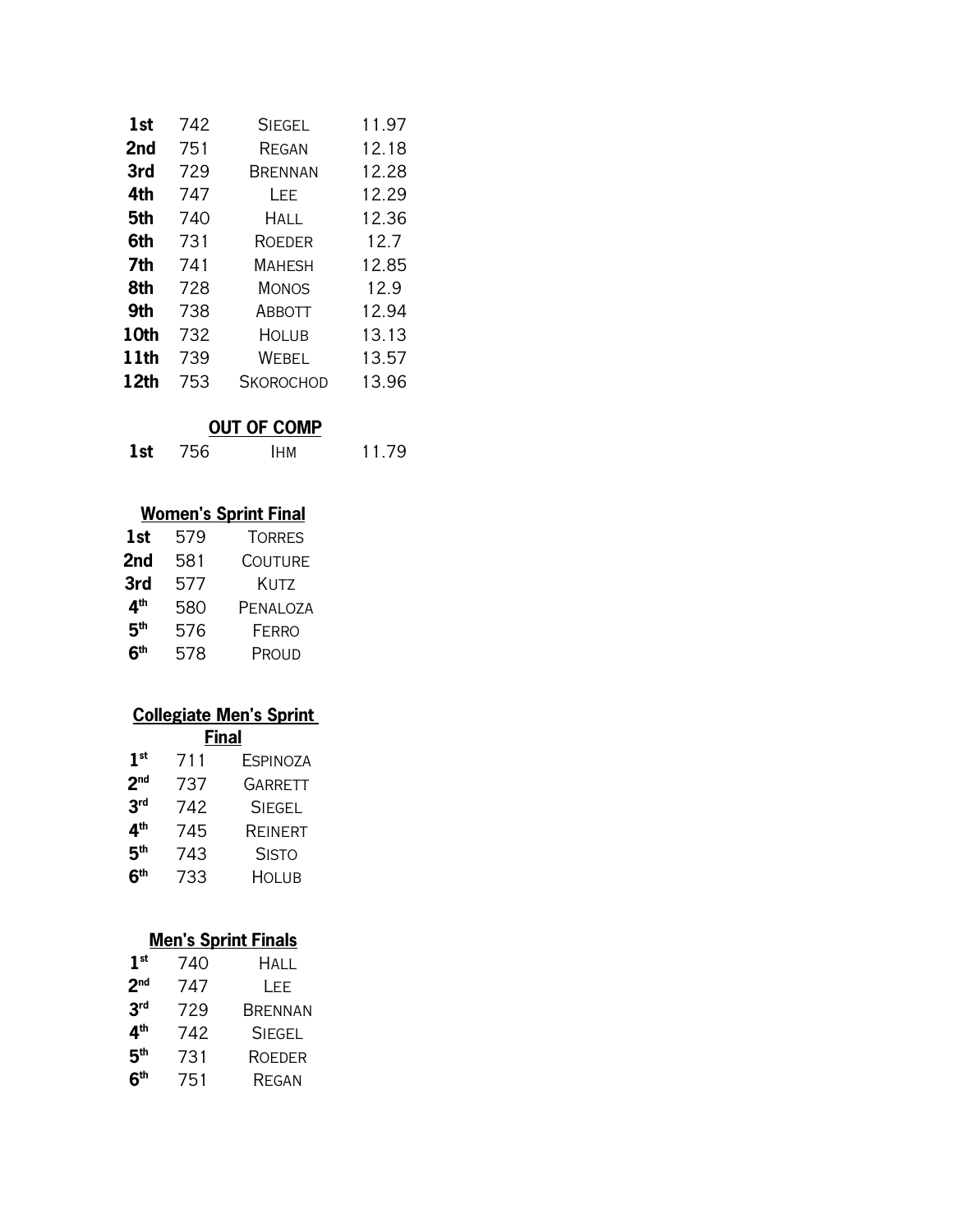| 1st  | 742 | <b>SIEGEL</b>    | 11.97 |
|------|-----|------------------|-------|
| 2nd  | 751 | REGAN            | 12.18 |
| 3rd  | 729 | BRENNAN          | 12.28 |
| 4th  | 747 | LEE              | 12.29 |
| 5th  | 740 | <b>HALL</b>      | 12.36 |
| 6th  | 731 | <b>ROEDER</b>    | 12.7  |
| 7th  | 741 | <b>MAHESH</b>    | 12.85 |
| 8th  | 728 | <b>MONOS</b>     | 12.9  |
| 9th  | 738 | ABBOTT           | 12.94 |
| 10th | 732 | <b>HOLUB</b>     | 13.13 |
| 11th | 739 | WEBEL            | 13.57 |
| 12th | 753 | <b>SKOROCHOD</b> | 13.96 |

## **OUT OF COMP**

**1st** 756 Ihm 11.79

## **Women's Sprint Final**

| 1st             | 579 | <b>TORRES</b>  |
|-----------------|-----|----------------|
| 2nd             | 581 | <b>COUTURE</b> |
| 3rd             | 577 | Kutz           |
| 4 <sup>th</sup> | 580 | PENALOZA       |
| 5 <sup>th</sup> | 576 | <b>FERRO</b>   |
| 6 <sup>th</sup> | 578 | Proud          |

# **Collegiate Men's Sprint**

**Final**

| 1 <sup>st</sup> | 711 | <b>ESPINOZA</b> |
|-----------------|-----|-----------------|
| 2 <sub>nd</sub> | 737 | <b>GARRETT</b>  |
| 3 <sup>rd</sup> | 742 | <b>SIEGEL</b>   |
| 4 <sup>th</sup> | 745 | REINERT         |
| 5 <sup>th</sup> | 743 | <b>SISTO</b>    |
| 6 <sup>th</sup> | 733 | Holub           |

## **Men's Sprint Finals**

| 1 <sup>st</sup> | 740 | HALL          |
|-----------------|-----|---------------|
| 2 <sub>nd</sub> | 747 | LEE.          |
| 3 <sup>rd</sup> | 729 | BRENNAN       |
| 4 <sup>th</sup> | 742 | <b>SIEGEL</b> |
| 5 <sup>th</sup> | 731 | <b>ROEDER</b> |
| 6 <sup>th</sup> | 751 | <b>REGAN</b>  |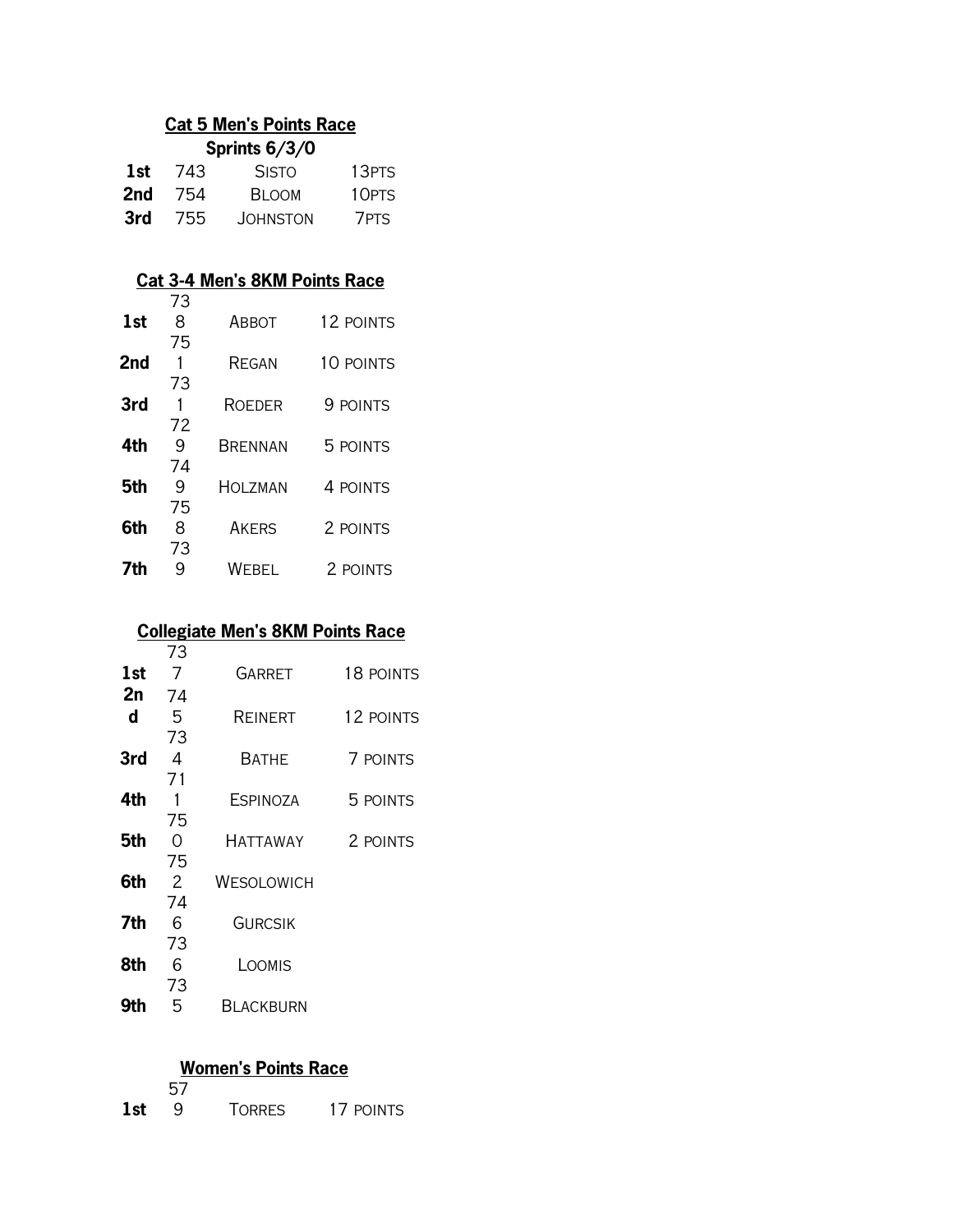#### **Cat 5 Men's Points Race Sprints 6/3/0**

| $V$ $V$ $\sim$ $V$ $\sim$ $V$ $\sim$ $V$ |      |                 |       |  |
|------------------------------------------|------|-----------------|-------|--|
| 1st                                      | -743 | <b>SISTO</b>    | 13PTS |  |
| 2nd                                      | 754  | <b>BLOOM</b>    | 10PTS |  |
| 3rd                                      | -755 | <b>JOHNSTON</b> | 7PTS  |  |

### **Cat 3-4 Men's 8KM Points Race**

|     | 73 |                |           |  |
|-----|----|----------------|-----------|--|
| 1st | 8  | ABBOT          | 12 POINTS |  |
|     | 75 |                |           |  |
| 2nd | 1  | REGAN          | 10 POINTS |  |
|     | 73 |                |           |  |
| 3rd | 1  | <b>ROEDER</b>  | 9 POINTS  |  |
|     | 72 |                |           |  |
| 4th | 9  | <b>BRENNAN</b> | 5 POINTS  |  |
|     | 74 |                |           |  |
| 5th | 9  | HOLZMAN        | 4 POINTS  |  |
|     | 75 |                |           |  |
| 6th | 8  | <b>AKFRS</b>   | 2 POINTS  |  |
|     | 73 |                |           |  |
| 7th | 9  | WEBEL          | 2 POINTS  |  |

# **Collegiate Men's 8KM Points Race**

|     | 73             |                 |           |
|-----|----------------|-----------------|-----------|
| 1st | $\overline{7}$ | GARRET          | 18 POINTS |
| 2n  | 74             |                 |           |
| d   | 5              | REINERT         | 12 POINTS |
|     | 73             |                 |           |
| 3rd | 4              | <b>BATHE</b>    | 7 POINTS  |
|     | 71             |                 |           |
| 4th | 1              | <b>ESPINOZA</b> | 5 POINTS  |
|     | 75             |                 |           |
| 5th | 0              | HATTAWAY        | 2 POINTS  |
|     | 75             |                 |           |
| 6th | 2              | WESOLOWICH      |           |
|     | 74             |                 |           |
| 7th | 6              | <b>GURCSIK</b>  |           |
|     | 73             |                 |           |
| 8th | 6              | LOOMIS          |           |
|     | 73             |                 |           |
| 9th | 5              | Blackburn       |           |

#### **Women's Points Race**

|     | 57 |               |           |
|-----|----|---------------|-----------|
| 1st |    | <b>TORRES</b> | 17 POINTS |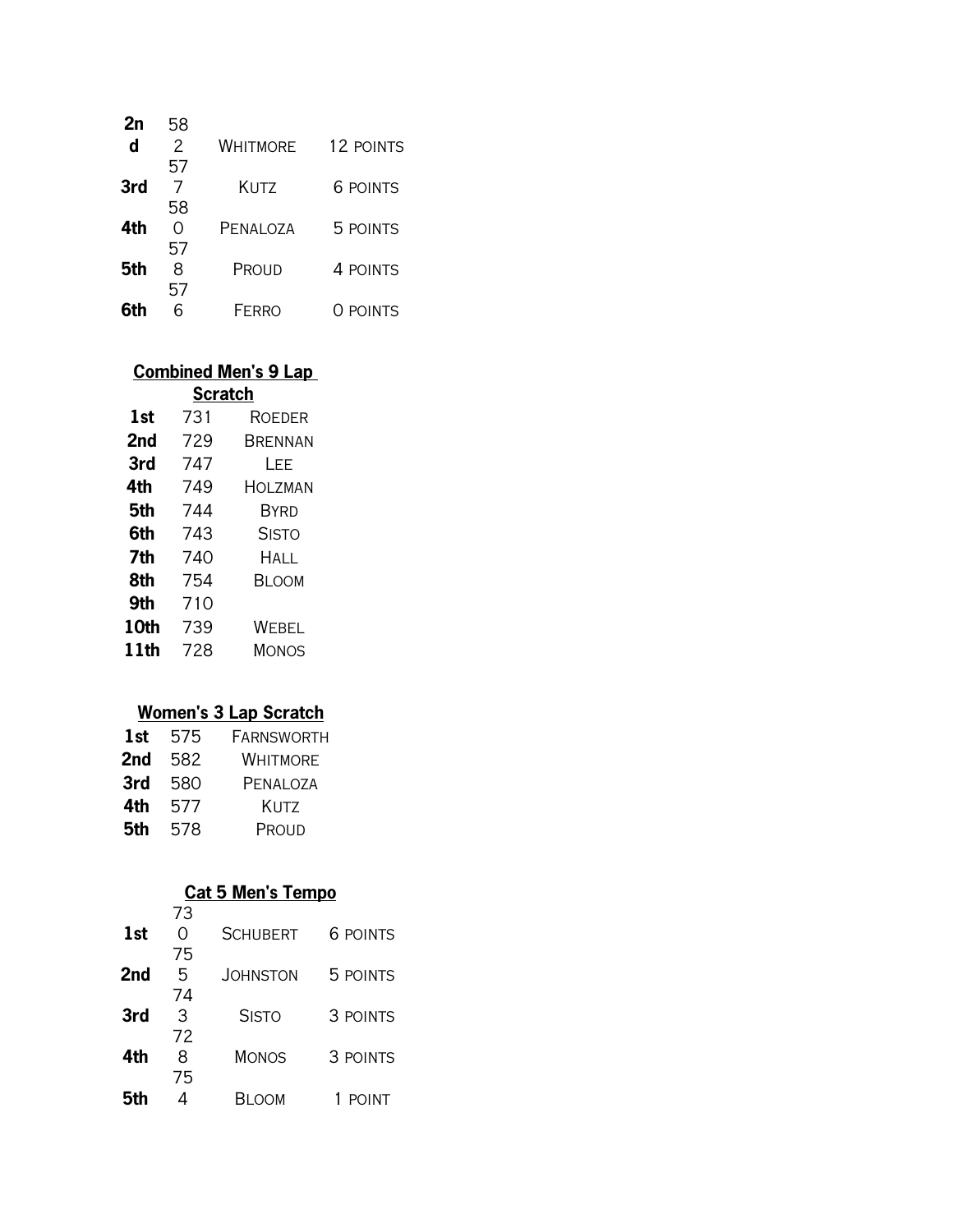| 58 |                 |           |
|----|-----------------|-----------|
| 2  | <b>WHITMORE</b> | 12 POINTS |
| 57 |                 |           |
| 7  | Kutz            | 6 POINTS  |
| 58 |                 |           |
| Ω  | PENALOZA        | 5 POINTS  |
| 57 |                 |           |
| 8  | Proud           | 4 POINTS  |
| 57 |                 |           |
|    | FFRRO           | O POINTS  |
|    |                 |           |

#### **Combined Men's 9 Lap**

| <b>Scratch</b> |     |              |  |  |
|----------------|-----|--------------|--|--|
| 1st            | 731 | ROEDER       |  |  |
| 2nd            | 729 | BRENNAN      |  |  |
| 3rd            | 747 | l FF         |  |  |
| 4th            | 749 | HOLZMAN      |  |  |
| 5th            | 744 | BYRD         |  |  |
| 6th            | 743 | <b>SISTO</b> |  |  |
| 7th            | 740 | Hal I.       |  |  |
| 8th            | 754 | Bi oom       |  |  |
| 9th            | 710 |              |  |  |
| 10th           | 739 | WEBEL        |  |  |
| 11th           | 728 | MONOS        |  |  |

# **Women's 3 Lap Scratch**

| 1st | 575 | <b>FARNSWORTH</b> |
|-----|-----|-------------------|
| 2nd | 582 | Whitmore          |
| 3rd | 580 | PENALOZA          |
| 4th | 577 | Kutz              |
| 5th | 578 | PROUD             |

#### **Cat 5 Men's Tempo**

|     | 73 |                 |                 |
|-----|----|-----------------|-----------------|
| 1st | ∩  | <b>SCHUBERT</b> | <b>6 POINTS</b> |
|     | 75 |                 |                 |
| 2nd | 5  | <b>JOHNSTON</b> | 5 POINTS        |
|     | 74 |                 |                 |
| 3rd | 3  | <b>SISTO</b>    | 3 POINTS        |
|     | 72 |                 |                 |
| 4th | 8  | <b>MONOS</b>    | 3 POINTS        |
|     | 75 |                 |                 |
| 5th |    | Bi oom          | <b>POINT</b>    |